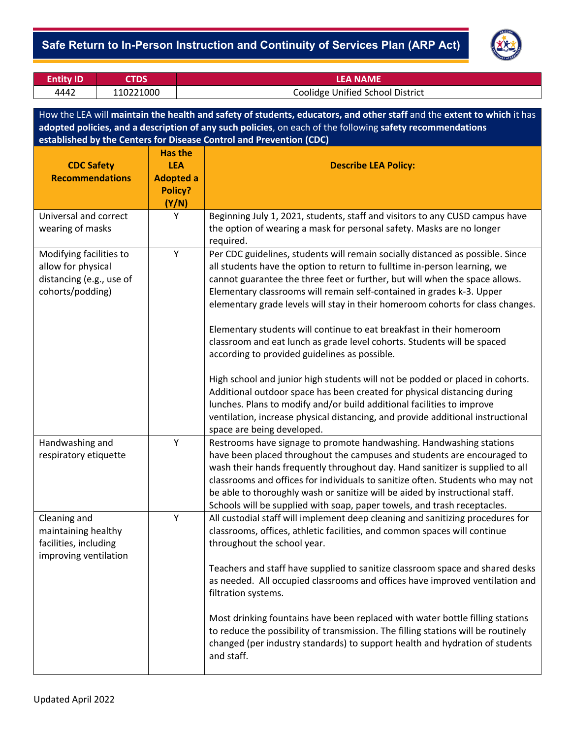

| <b>Entity ID</b>                                                                                                                                                                                                                                                                                           | <b>CTDS</b> |                                                                             | <b>LEA NAME</b>                                                                                                                                                                                                                                                                                                                                                                                                                                                                                                                                                                                                                                                                                                                                                                                                                                                                                                                                                   |  |  |
|------------------------------------------------------------------------------------------------------------------------------------------------------------------------------------------------------------------------------------------------------------------------------------------------------------|-------------|-----------------------------------------------------------------------------|-------------------------------------------------------------------------------------------------------------------------------------------------------------------------------------------------------------------------------------------------------------------------------------------------------------------------------------------------------------------------------------------------------------------------------------------------------------------------------------------------------------------------------------------------------------------------------------------------------------------------------------------------------------------------------------------------------------------------------------------------------------------------------------------------------------------------------------------------------------------------------------------------------------------------------------------------------------------|--|--|
| 4442                                                                                                                                                                                                                                                                                                       | 110221000   |                                                                             | <b>Coolidge Unified School District</b>                                                                                                                                                                                                                                                                                                                                                                                                                                                                                                                                                                                                                                                                                                                                                                                                                                                                                                                           |  |  |
| How the LEA will maintain the health and safety of students, educators, and other staff and the extent to which it has<br>adopted policies, and a description of any such policies, on each of the following safety recommendations<br>established by the Centers for Disease Control and Prevention (CDC) |             |                                                                             |                                                                                                                                                                                                                                                                                                                                                                                                                                                                                                                                                                                                                                                                                                                                                                                                                                                                                                                                                                   |  |  |
| <b>CDC Safety</b><br><b>Recommendations</b>                                                                                                                                                                                                                                                                |             | <b>Has the</b><br><b>LEA</b><br><b>Adopted a</b><br><b>Policy?</b><br>(Y/N) | <b>Describe LEA Policy:</b>                                                                                                                                                                                                                                                                                                                                                                                                                                                                                                                                                                                                                                                                                                                                                                                                                                                                                                                                       |  |  |
| Universal and correct<br>wearing of masks                                                                                                                                                                                                                                                                  |             | Y                                                                           | Beginning July 1, 2021, students, staff and visitors to any CUSD campus have<br>the option of wearing a mask for personal safety. Masks are no longer<br>required.                                                                                                                                                                                                                                                                                                                                                                                                                                                                                                                                                                                                                                                                                                                                                                                                |  |  |
| Modifying facilities to<br>allow for physical<br>distancing (e.g., use of<br>cohorts/podding)                                                                                                                                                                                                              |             | Υ                                                                           | Per CDC guidelines, students will remain socially distanced as possible. Since<br>all students have the option to return to fulltime in-person learning, we<br>cannot guarantee the three feet or further, but will when the space allows.<br>Elementary classrooms will remain self-contained in grades k-3. Upper<br>elementary grade levels will stay in their homeroom cohorts for class changes.<br>Elementary students will continue to eat breakfast in their homeroom<br>classroom and eat lunch as grade level cohorts. Students will be spaced<br>according to provided guidelines as possible.<br>High school and junior high students will not be podded or placed in cohorts.<br>Additional outdoor space has been created for physical distancing during<br>lunches. Plans to modify and/or build additional facilities to improve<br>ventilation, increase physical distancing, and provide additional instructional<br>space are being developed. |  |  |
| Handwashing and<br>respiratory etiquette                                                                                                                                                                                                                                                                   |             | Υ                                                                           | Restrooms have signage to promote handwashing. Handwashing stations<br>have been placed throughout the campuses and students are encouraged to<br>wash their hands frequently throughout day. Hand sanitizer is supplied to all<br>classrooms and offices for individuals to sanitize often. Students who may not<br>be able to thoroughly wash or sanitize will be aided by instructional staff.<br>Schools will be supplied with soap, paper towels, and trash receptacles.                                                                                                                                                                                                                                                                                                                                                                                                                                                                                     |  |  |
| Cleaning and<br>maintaining healthy<br>facilities, including<br>improving ventilation                                                                                                                                                                                                                      |             | Υ                                                                           | All custodial staff will implement deep cleaning and sanitizing procedures for<br>classrooms, offices, athletic facilities, and common spaces will continue<br>throughout the school year.<br>Teachers and staff have supplied to sanitize classroom space and shared desks<br>as needed. All occupied classrooms and offices have improved ventilation and<br>filtration systems.<br>Most drinking fountains have been replaced with water bottle filling stations<br>to reduce the possibility of transmission. The filling stations will be routinely<br>changed (per industry standards) to support health and hydration of students<br>and staff.                                                                                                                                                                                                                                                                                                            |  |  |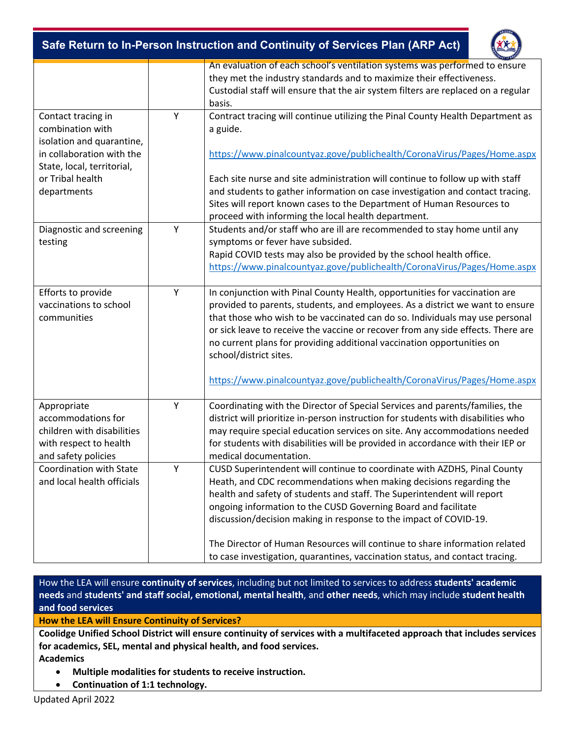|                                                                                                                                                                   |   | Safe Return to In-Person Instruction and Continuity of Services Plan (ARP Act)                                                                                                                                                                                                                                                                                                                                                                                                                                                 |
|-------------------------------------------------------------------------------------------------------------------------------------------------------------------|---|--------------------------------------------------------------------------------------------------------------------------------------------------------------------------------------------------------------------------------------------------------------------------------------------------------------------------------------------------------------------------------------------------------------------------------------------------------------------------------------------------------------------------------|
|                                                                                                                                                                   |   | An evaluation of each school's ventilation systems was performed to ensure<br>they met the industry standards and to maximize their effectiveness.<br>Custodial staff will ensure that the air system filters are replaced on a regular<br>basis.                                                                                                                                                                                                                                                                              |
| Contact tracing in<br>combination with<br>isolation and quarantine,<br>in collaboration with the<br>State, local, territorial,<br>or Tribal health<br>departments | Y | Contract tracing will continue utilizing the Pinal County Health Department as<br>a guide.<br>https://www.pinalcountyaz.gove/publichealth/CoronaVirus/Pages/Home.aspx<br>Each site nurse and site administration will continue to follow up with staff<br>and students to gather information on case investigation and contact tracing.<br>Sites will report known cases to the Department of Human Resources to<br>proceed with informing the local health department.                                                        |
| Diagnostic and screening<br>testing                                                                                                                               | Υ | Students and/or staff who are ill are recommended to stay home until any<br>symptoms or fever have subsided.<br>Rapid COVID tests may also be provided by the school health office.<br>https://www.pinalcountyaz.gove/publichealth/CoronaVirus/Pages/Home.aspx                                                                                                                                                                                                                                                                 |
| Efforts to provide<br>vaccinations to school<br>communities                                                                                                       | Υ | In conjunction with Pinal County Health, opportunities for vaccination are<br>provided to parents, students, and employees. As a district we want to ensure<br>that those who wish to be vaccinated can do so. Individuals may use personal<br>or sick leave to receive the vaccine or recover from any side effects. There are<br>no current plans for providing additional vaccination opportunities on<br>school/district sites.<br>https://www.pinalcountyaz.gove/publichealth/CoronaVirus/Pages/Home.aspx                 |
| Appropriate<br>accommodations for<br>children with disabilities<br>with respect to health<br>and safety policies                                                  | Υ | Coordinating with the Director of Special Services and parents/families, the<br>district will prioritize in-person instruction for students with disabilities who<br>may require special education services on site. Any accommodations needed<br>for students with disabilities will be provided in accordance with their IEP or<br>medical documentation.                                                                                                                                                                    |
| Coordination with State<br>and local health officials                                                                                                             | Υ | CUSD Superintendent will continue to coordinate with AZDHS, Pinal County<br>Heath, and CDC recommendations when making decisions regarding the<br>health and safety of students and staff. The Superintendent will report<br>ongoing information to the CUSD Governing Board and facilitate<br>discussion/decision making in response to the impact of COVID-19.<br>The Director of Human Resources will continue to share information related<br>to case investigation, quarantines, vaccination status, and contact tracing. |

How the LEA will ensure **continuity of services**, including but not limited to services to address **students' academic needs** and **students' and staff social, emotional, mental health**, and **other needs**, which may include **student health and food services**

#### **How the LEA will Ensure Continuity of Services?**

**Coolidge Unified School District will ensure continuity of services with a multifaceted approach that includes services for academics, SEL, mental and physical health, and food services. Academics**

- **Multiple modalities for students to receive instruction.**
- **Continuation of 1:1 technology.**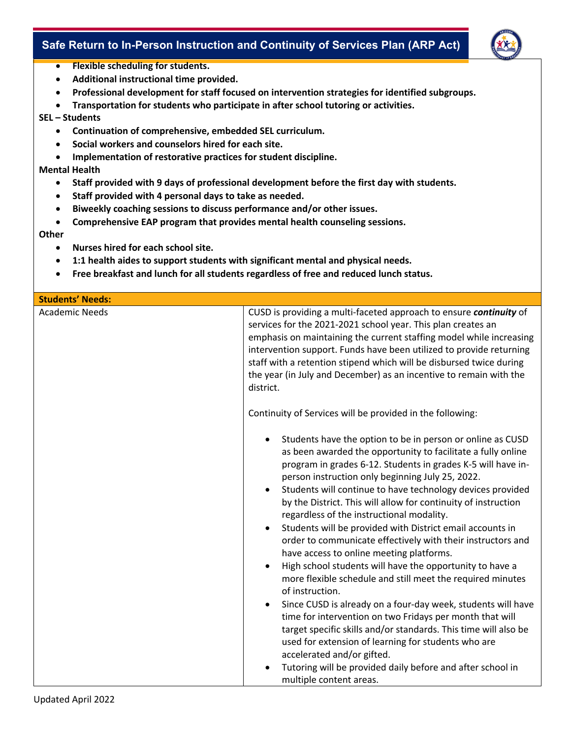

- **Flexible scheduling for students.**
- **Additional instructional time provided.**
- **Professional development for staff focused on intervention strategies for identified subgroups.**
- **Transportation for students who participate in after school tutoring or activities.**

#### **SEL – Students**

- **Continuation of comprehensive, embedded SEL curriculum.**
- **Social workers and counselors hired for each site.**
- **Implementation of restorative practices for student discipline.**

#### **Mental Health**

- **Staff provided with 9 days of professional development before the first day with students.**
- **Staff provided with 4 personal days to take as needed.**
- **Biweekly coaching sessions to discuss performance and/or other issues.**
- **Comprehensive EAP program that provides mental health counseling sessions.**

#### **Other**

- **Nurses hired for each school site.**
- **1:1 health aides to support students with significant mental and physical needs.**
- **Free breakfast and lunch for all students regardless of free and reduced lunch status.**

| <b>Students' Needs:</b> |                                                                                                                                                                                                                                                                                                                                                                                                                                                                                                                                                                                                                                                                                                                                                                                                                                                                                                                                                                                                                                                                                                                                                                     |
|-------------------------|---------------------------------------------------------------------------------------------------------------------------------------------------------------------------------------------------------------------------------------------------------------------------------------------------------------------------------------------------------------------------------------------------------------------------------------------------------------------------------------------------------------------------------------------------------------------------------------------------------------------------------------------------------------------------------------------------------------------------------------------------------------------------------------------------------------------------------------------------------------------------------------------------------------------------------------------------------------------------------------------------------------------------------------------------------------------------------------------------------------------------------------------------------------------|
| <b>Academic Needs</b>   | CUSD is providing a multi-faceted approach to ensure continuity of<br>services for the 2021-2021 school year. This plan creates an<br>emphasis on maintaining the current staffing model while increasing<br>intervention support. Funds have been utilized to provide returning<br>staff with a retention stipend which will be disbursed twice during<br>the year (in July and December) as an incentive to remain with the<br>district.                                                                                                                                                                                                                                                                                                                                                                                                                                                                                                                                                                                                                                                                                                                          |
|                         | Continuity of Services will be provided in the following:                                                                                                                                                                                                                                                                                                                                                                                                                                                                                                                                                                                                                                                                                                                                                                                                                                                                                                                                                                                                                                                                                                           |
|                         | Students have the option to be in person or online as CUSD<br>$\bullet$<br>as been awarded the opportunity to facilitate a fully online<br>program in grades 6-12. Students in grades K-5 will have in-<br>person instruction only beginning July 25, 2022.<br>Students will continue to have technology devices provided<br>$\bullet$<br>by the District. This will allow for continuity of instruction<br>regardless of the instructional modality.<br>Students will be provided with District email accounts in<br>$\bullet$<br>order to communicate effectively with their instructors and<br>have access to online meeting platforms.<br>High school students will have the opportunity to have a<br>$\bullet$<br>more flexible schedule and still meet the required minutes<br>of instruction.<br>Since CUSD is already on a four-day week, students will have<br>$\bullet$<br>time for intervention on two Fridays per month that will<br>target specific skills and/or standards. This time will also be<br>used for extension of learning for students who are<br>accelerated and/or gifted.<br>Tutoring will be provided daily before and after school in |
|                         | multiple content areas.                                                                                                                                                                                                                                                                                                                                                                                                                                                                                                                                                                                                                                                                                                                                                                                                                                                                                                                                                                                                                                                                                                                                             |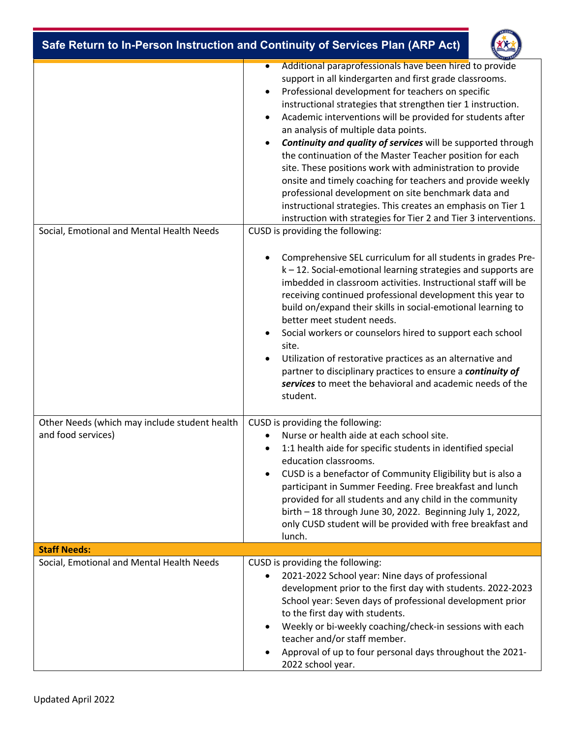| Safe Return to In-Person Instruction and Continuity of Services Plan (ARP Act) |                                                                                                                                                                                                                                                                                                                                                                                                                                                                                                                                                                                                                                                                                                                                                                                                                                        |  |
|--------------------------------------------------------------------------------|----------------------------------------------------------------------------------------------------------------------------------------------------------------------------------------------------------------------------------------------------------------------------------------------------------------------------------------------------------------------------------------------------------------------------------------------------------------------------------------------------------------------------------------------------------------------------------------------------------------------------------------------------------------------------------------------------------------------------------------------------------------------------------------------------------------------------------------|--|
|                                                                                | Additional paraprofessionals have been hired to provide<br>$\bullet$<br>support in all kindergarten and first grade classrooms.<br>Professional development for teachers on specific<br>$\bullet$<br>instructional strategies that strengthen tier 1 instruction.<br>Academic interventions will be provided for students after<br>$\bullet$<br>an analysis of multiple data points.<br>Continuity and quality of services will be supported through<br>the continuation of the Master Teacher position for each<br>site. These positions work with administration to provide<br>onsite and timely coaching for teachers and provide weekly<br>professional development on site benchmark data and<br>instructional strategies. This creates an emphasis on Tier 1<br>instruction with strategies for Tier 2 and Tier 3 interventions. |  |
| Social, Emotional and Mental Health Needs                                      | CUSD is providing the following:<br>Comprehensive SEL curriculum for all students in grades Pre-<br>k - 12. Social-emotional learning strategies and supports are<br>imbedded in classroom activities. Instructional staff will be<br>receiving continued professional development this year to<br>build on/expand their skills in social-emotional learning to<br>better meet student needs.<br>Social workers or counselors hired to support each school<br>site.<br>Utilization of restorative practices as an alternative and<br>$\bullet$<br>partner to disciplinary practices to ensure a continuity of<br>services to meet the behavioral and academic needs of the<br>student.                                                                                                                                                 |  |
| Other Needs (which may include student health<br>and food services)            | CUSD is providing the following:<br>Nurse or health aide at each school site.<br>1:1 health aide for specific students in identified special<br>$\bullet$<br>education classrooms.<br>CUSD is a benefactor of Community Eligibility but is also a<br>$\bullet$<br>participant in Summer Feeding. Free breakfast and lunch<br>provided for all students and any child in the community<br>birth - 18 through June 30, 2022. Beginning July 1, 2022,<br>only CUSD student will be provided with free breakfast and<br>lunch.                                                                                                                                                                                                                                                                                                             |  |
| <b>Staff Needs:</b><br>Social, Emotional and Mental Health Needs               | CUSD is providing the following:                                                                                                                                                                                                                                                                                                                                                                                                                                                                                                                                                                                                                                                                                                                                                                                                       |  |
|                                                                                | 2021-2022 School year: Nine days of professional<br>development prior to the first day with students. 2022-2023<br>School year: Seven days of professional development prior<br>to the first day with students.<br>Weekly or bi-weekly coaching/check-in sessions with each<br>$\bullet$<br>teacher and/or staff member.<br>Approval of up to four personal days throughout the 2021-<br>2022 school year.                                                                                                                                                                                                                                                                                                                                                                                                                             |  |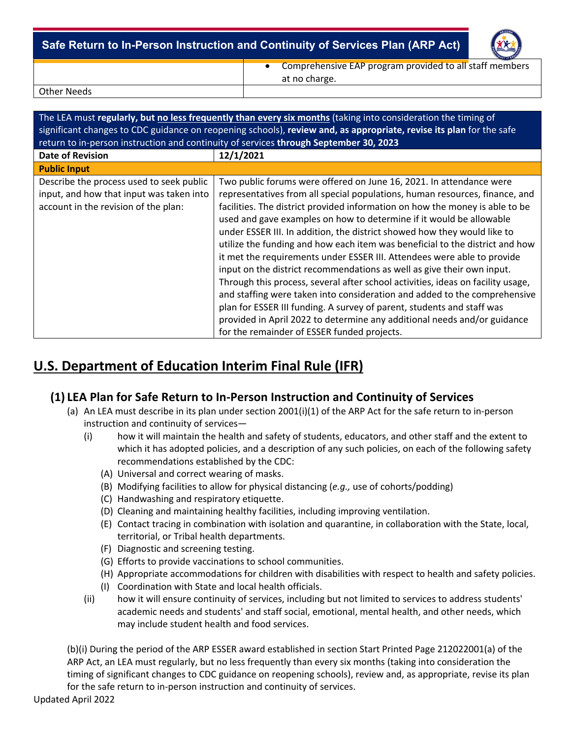

• Comprehensive EAP program provided to all staff members

Other Needs

| The LEA must regularly, but no less frequently than every six months (taking into consideration the timing of<br>significant changes to CDC guidance on reopening schools), review and, as appropriate, revise its plan for the safe<br>return to in-person instruction and continuity of services through September 30, 2023 |                                                                                                                                                                                                                                                                                                                                                                                                                                                                                                                                                                                                                                                                                                                                                                                                                                                                                                                                                                                                 |  |  |  |
|-------------------------------------------------------------------------------------------------------------------------------------------------------------------------------------------------------------------------------------------------------------------------------------------------------------------------------|-------------------------------------------------------------------------------------------------------------------------------------------------------------------------------------------------------------------------------------------------------------------------------------------------------------------------------------------------------------------------------------------------------------------------------------------------------------------------------------------------------------------------------------------------------------------------------------------------------------------------------------------------------------------------------------------------------------------------------------------------------------------------------------------------------------------------------------------------------------------------------------------------------------------------------------------------------------------------------------------------|--|--|--|
| <b>Date of Revision</b>                                                                                                                                                                                                                                                                                                       | 12/1/2021                                                                                                                                                                                                                                                                                                                                                                                                                                                                                                                                                                                                                                                                                                                                                                                                                                                                                                                                                                                       |  |  |  |
| <b>Public Input</b>                                                                                                                                                                                                                                                                                                           |                                                                                                                                                                                                                                                                                                                                                                                                                                                                                                                                                                                                                                                                                                                                                                                                                                                                                                                                                                                                 |  |  |  |
| Describe the process used to seek public<br>input, and how that input was taken into<br>account in the revision of the plan:                                                                                                                                                                                                  | Two public forums were offered on June 16, 2021. In attendance were<br>representatives from all special populations, human resources, finance, and<br>facilities. The district provided information on how the money is able to be<br>used and gave examples on how to determine if it would be allowable<br>under ESSER III. In addition, the district showed how they would like to<br>utilize the funding and how each item was beneficial to the district and how<br>it met the requirements under ESSER III. Attendees were able to provide<br>input on the district recommendations as well as give their own input.<br>Through this process, several after school activities, ideas on facility usage,<br>and staffing were taken into consideration and added to the comprehensive<br>plan for ESSER III funding. A survey of parent, students and staff was<br>provided in April 2022 to determine any additional needs and/or guidance<br>for the remainder of ESSER funded projects. |  |  |  |

at no charge.

# **U.S. Department of Education Interim Final Rule (IFR)**

## **(1) LEA Plan for Safe Return to In-Person Instruction and Continuity of Services**

- (a) An LEA must describe in its plan under section 2001(i)(1) of the ARP Act for the safe return to in-person instruction and continuity of services—
	- (i) how it will maintain the health and safety of students, educators, and other staff and the extent to which it has adopted policies, and a description of any such policies, on each of the following safety recommendations established by the CDC:
		- (A) Universal and correct wearing of masks.
		- (B) Modifying facilities to allow for physical distancing (*e.g.,* use of cohorts/podding)
		- (C) Handwashing and respiratory etiquette.
		- (D) Cleaning and maintaining healthy facilities, including improving ventilation.
		- (E) Contact tracing in combination with isolation and quarantine, in collaboration with the State, local, territorial, or Tribal health departments.
		- (F) Diagnostic and screening testing.
		- (G) Efforts to provide vaccinations to school communities.
		- (H) Appropriate accommodations for children with disabilities with respect to health and safety policies.
		- (I) Coordination with State and local health officials.
	- (ii) how it will ensure continuity of services, including but not limited to services to address students' academic needs and students' and staff social, emotional, mental health, and other needs, which may include student health and food services.

(b)(i) During the period of the ARP ESSER award established in section Start Printed Page 212022001(a) of the ARP Act, an LEA must regularly, but no less frequently than every six months (taking into consideration the timing of significant changes to CDC guidance on reopening schools), review and, as appropriate, revise its plan for the safe return to in-person instruction and continuity of services.